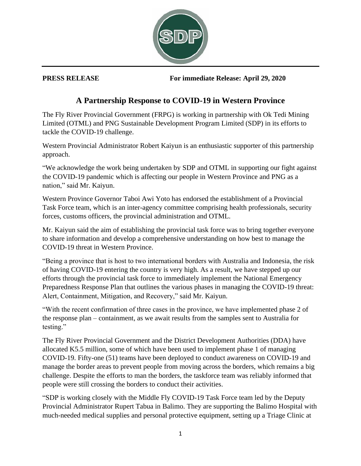

**PRESS RELEASE For immediate Release: April 29, 2020**

## **A Partnership Response to COVID-19 in Western Province**

The Fly River Provincial Government (FRPG) is working in partnership with Ok Tedi Mining Limited (OTML) and PNG Sustainable Development Program Limited (SDP) in its efforts to tackle the COVID-19 challenge.

Western Provincial Administrator Robert Kaiyun is an enthusiastic supporter of this partnership approach.

"We acknowledge the work being undertaken by SDP and OTML in supporting our fight against the COVID-19 pandemic which is affecting our people in Western Province and PNG as a nation," said Mr. Kaiyun.

Western Province Governor Taboi Awi Yoto has endorsed the establishment of a Provincial Task Force team, which is an inter-agency committee comprising health professionals, security forces, customs officers, the provincial administration and OTML.

Mr. Kaiyun said the aim of establishing the provincial task force was to bring together everyone to share information and develop a comprehensive understanding on how best to manage the COVID-19 threat in Western Province.

"Being a province that is host to two international borders with Australia and Indonesia, the risk of having COVID-19 entering the country is very high. As a result, we have stepped up our efforts through the provincial task force to immediately implement the National Emergency Preparedness Response Plan that outlines the various phases in managing the COVID-19 threat: Alert, Containment, Mitigation, and Recovery," said Mr. Kaiyun.

"With the recent confirmation of three cases in the province, we have implemented phase 2 of the response plan – containment, as we await results from the samples sent to Australia for testing."

The Fly River Provincial Government and the District Development Authorities (DDA) have allocated K5.5 million, some of which have been used to implement phase 1 of managing COVID-19. Fifty-one (51) teams have been deployed to conduct awareness on COVID-19 and manage the border areas to prevent people from moving across the borders, which remains a big challenge. Despite the efforts to man the borders, the taskforce team was reliably informed that people were still crossing the borders to conduct their activities.

"SDP is working closely with the Middle Fly COVID-19 Task Force team led by the Deputy Provincial Administrator Rupert Tabua in Balimo. They are supporting the Balimo Hospital with much-needed medical supplies and personal protective equipment, setting up a Triage Clinic at